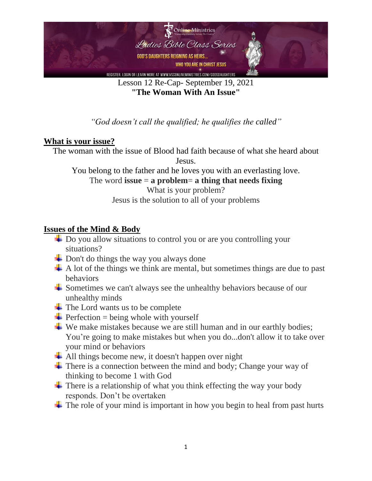

Lesson 12 Re-Cap- September 19, 2021 **"The Woman With An Issue"**

*"God doesn't call the qualified; he qualifies the called"*

### **What is your issue?**

The woman with the issue of Blood had faith because of what she heard about Jesus.

You belong to the father and he loves you with an everlasting love.

The word **issue**  $=$  **a** problem= **a** thing that needs fixing

What is your problem? Jesus is the solution to all of your problems

#### **Issues of the Mind & Body**

- **↓** Do you allow situations to control you or are you controlling your situations?
- $\overline{\text{+}}$  Don't do things the way you always done
- $\overline{+}$  A lot of the things we think are mental, but sometimes things are due to past behaviors
- $\overline{\phantom{a}}$  Sometimes we can't always see the unhealthy behaviors because of our unhealthy minds
- $\overline{\phantom{a}}$  The Lord wants us to be complete
- $\triangle$  Perfection = being whole with yourself
- $\downarrow$  We make mistakes because we are still human and in our earthly bodies; You're going to make mistakes but when you do...don't allow it to take over your mind or behaviors
- $\overline{\text{4}}$  All things become new, it doesn't happen over night
- $\overline{\text{There}}$  is a connection between the mind and body; Change your way of thinking to become 1 with God
- $\overline{\text{I}}$  There is a relationship of what you think effecting the way your body responds. Don't be overtaken
- $\pm$  The role of your mind is important in how you begin to heal from past hurts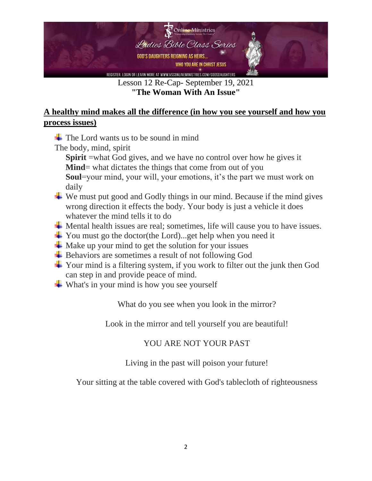

Lesson 12 Re-Cap- September 19, 2021 **"The Woman With An Issue"**

## **A healthy mind makes all the difference (in how you see yourself and how you process issues)**

 $\overline{\text{F}}$  The Lord wants us to be sound in mind

The body, mind, spirit

**Spirit** =what God gives, and we have no control over how he gives it **Mind**= what dictates the things that come from out of you

**Soul**=your mind, your will, your emotions, it's the part we must work on daily

- $\overline{\phantom{a}}$  We must put good and Godly things in our mind. Because if the mind gives wrong direction it effects the body. Your body is just a vehicle it does whatever the mind tells it to do
- ↓ Mental health issues are real; sometimes, life will cause you to have issues.
- You must go the doctor(the Lord)...get help when you need it
- $\overline{\phantom{a}}$  Make up your mind to get the solution for your issues
- $\overline{\phantom{a}}$  Behaviors are sometimes a result of not following God
- Your mind is a filtering system, if you work to filter out the junk then God can step in and provide peace of mind.
- $\overline{\phantom{a}}$  What's in your mind is how you see yourself

What do you see when you look in the mirror?

Look in the mirror and tell yourself you are beautiful!

# YOU ARE NOT YOUR PAST

### Living in the past will poison your future!

Your sitting at the table covered with God's tablecloth of righteousness